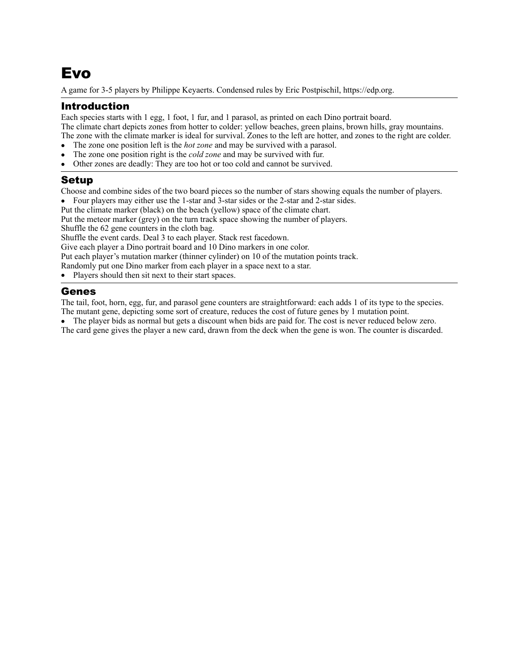# Evo

A game for 3-5 players by Philippe Keyaerts. Condensed rules by Eric Postpischil, [https://edp.org.](https://edp.org)

# Introduction

Each species starts with 1 egg, 1 foot, 1 fur, and 1 parasol, as printed on each Dino portrait board. The climate chart depicts zones from hotter to colder: yellow beaches, green plains, brown hills, gray mountains. The zone with the climate marker is ideal for survival. Zones to the left are hotter, and zones to the right are colder.

- The zone one position left is the *hot zone* and may be survived with a parasol.
- The zone one position right is the *cold zone* and may be survived with fur.
- Other zones are deadly: They are too hot or too cold and cannot be survived.

# Setup

Choose and combine sides of the two board pieces so the number of stars showing equals the number of players.

• Four players may either use the 1-star and 3-star sides or the 2-star and 2-star sides.

Put the climate marker (black) on the beach (yellow) space of the climate chart.

Put the meteor marker (grey) on the turn track space showing the number of players.

Shuffle the 62 gene counters in the cloth bag.

Shuffle the event cards. Deal 3 to each player. Stack rest facedown.

Give each player a Dino portrait board and 10 Dino markers in one color.

Put each player's mutation marker (thinner cylinder) on 10 of the mutation points track.

Randomly put one Dino marker from each player in a space next to a star.

Players should then sit next to their start spaces.

## Genes

The tail, foot, horn, egg, fur, and parasol gene counters are straightforward: each adds 1 of its type to the species. The mutant gene, depicting some sort of creature, reduces the cost of future genes by 1 mutation point.

• The player bids as normal but gets a discount when bids are paid for. The cost is never reduced below zero. The card gene gives the player a new card, drawn from the deck when the gene is won. The counter is discarded.